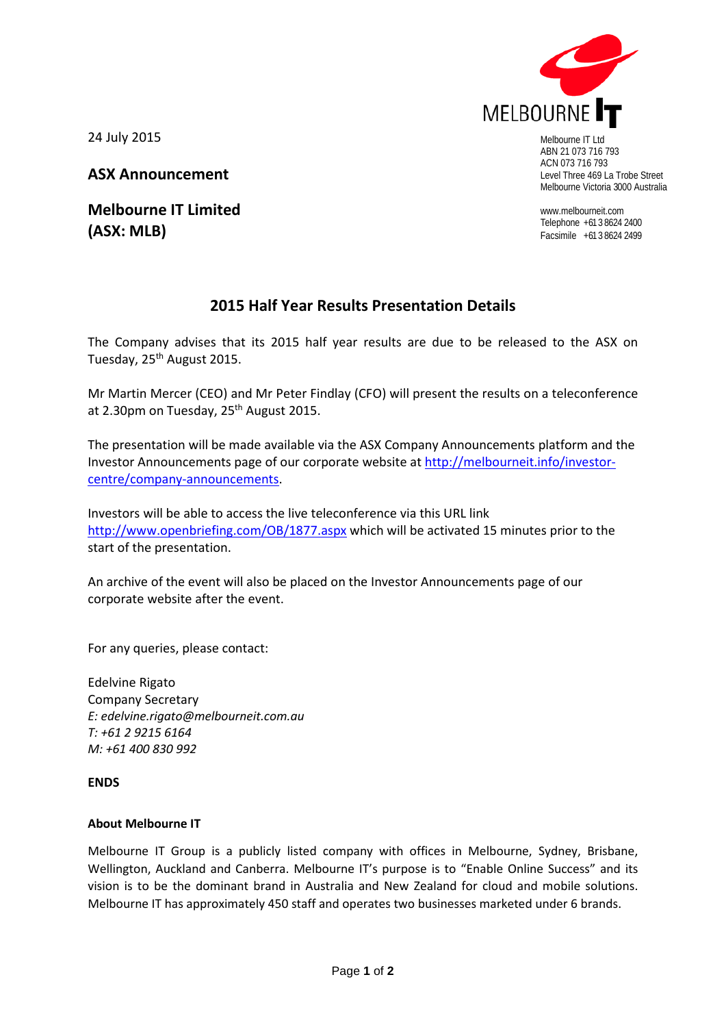

ABN 21 073 716 793 ACN 073 716 793 Level Three 469 La Trobe Street Melbourne Victoria 3000 Australia

www.melbourneit.com Telephone +61 3 8624 2400 Facsimile +61 3 8624 2499

24 July 2015

**ASX Announcement**

**Melbourne IT Limited (ASX: MLB)**

## **2015 Half Year Results Presentation Details**

The Company advises that its 2015 half year results are due to be released to the ASX on Tuesday, 25<sup>th</sup> August 2015.

Mr Martin Mercer (CEO) and Mr Peter Findlay (CFO) will present the results on a teleconference at 2.30pm on Tuesday, 25<sup>th</sup> August 2015.

The presentation will be made available via the ASX Company Announcements platform and the Investor Announcements page of our corporate website at [http://melbourneit.info/investor](http://melbourneit.info/investor-centre/company-announcements)[centre/company-announcements.](http://melbourneit.info/investor-centre/company-announcements)

Investors will be able to access the live teleconference via this URL link <http://www.openbriefing.com/OB/1877.aspx> which will be activated 15 minutes prior to the start of the presentation.

An archive of the event will also be placed on the Investor Announcements page of our corporate website after the event.

For any queries, please contact:

Edelvine Rigato Company Secretary *E: [edelvine.rigato@melbourneit.com.au](mailto:edelvine.rigato@melbourneit.com.au) T: +61 2 9215 6164 M: +61 400 830 992*

## **ENDS**

## **About Melbourne IT**

Melbourne IT Group is a publicly listed company with offices in Melbourne, Sydney, Brisbane, Wellington, Auckland and Canberra. Melbourne IT's purpose is to "Enable Online Success" and its vision is to be the dominant brand in Australia and New Zealand for cloud and mobile solutions. Melbourne IT has approximately 450 staff and operates two businesses marketed under 6 brands.